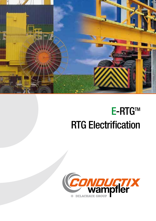

# **E-RTG™** RTG Electrification

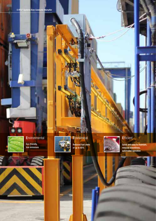

### **Environmental**

Eco-friendly, low emissions



# **Economical**

Reduced fuel costs of up to 65%



### **Efficient**

Quick and easy to maintain, reduced downtimes, automated operation





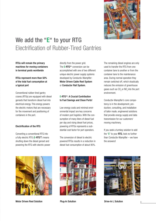

## We add the "E" to your RTG Electrification of Rubber-Tired Gantries

RTGs will remain the primary machines for moving containers in terminal yards worldwide

#### RTGs represent more than 50% of the total fuel consumption at a typical port

Conventional rubber-tired gantry cranes (RTGs) are equipped with diesel gensets that transform diesel fuel into electrical energy. This energy powers the electric motors that are necessary for the movement and positioning of containers in the port.

#### Electrification of the RTG

Converting a conventional RTG into a fully electric RTG (E-RTG™) means shutting down the diesel genset and powering the RTG with electric power directly from the power grid. The **E-RTG™** conversion can be accomplished with one of two different unique electric power supply systems developed by Conductix-Wampfler: Motor Driven Cable Reel System or Conductor Rail System.

#### **E-RTG™: A Crucial Contribution** to Fuel Savings and Clean Ports!

Low energy costs and minimal environmental impact are key concerns of modern port logistics. With the consumption of many liters of diesel fuel per day and rising diesel fuel prices, powering of RTGs represents a substantial cost factor for port operators.

The conversion of diesel to electric powered RTGs results in a reduction in diesel fuel consumption of about 95%.

The remaining diesel engines are only used to transfer the RTG from one container lane to another or from the container lane to the maintenance area. During normal operation they remain switched off, which drastically reduces the emission of greenhouse gases such as CO<sub>2</sub> or NO<sub>2</sub> into the port environment.

Conductix-Wampfler's core competency is in the development, production, consulting, and installation of tailor made, engineered solutions that provide energy supply and data transmission for our customers' moving machinery.

If you seek a turnkey solution to add the "E" to your RTG, look no further than Conductix-Wampfler – we have the answers!



Motor Driven Reel Solution **Plug-In Solution** Plug-In Solution **Plug-In L Solution** Drive-In L Solution



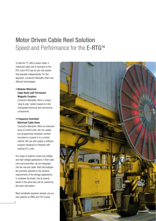### Motor Driven Cable Reel Solution Speed and Performance for the E-RTG™

To add the "E" with a power cable, a motorized cable reel is mounted on the RTG. Each RTG has its own reel system that operates independently. For this approach, Conductix-Wampfler offers two different technologies:

#### • Modular Motorized Cable Reels with Permanent Magnetic Couplers

Conductix-Wampfler offers a unique "plug & play" system based on interchangeable electrical and mechanical components.

#### • Frequency Controlled Motorized Cable Reels

Conductix-Wampfler offers an extensive array of control units. We can supply pre-programmed hardware controls mounted on a panel or in a control cabinet. We can also supply a software program designed to integrate with existing PLC units.

Our range of systems covers low voltage and high voltage applications. A fiber optic core and transmitter can be integrated into the reel and cable. Both technologies are precisely adjusted to the dynamic requirements of the storage applications in container terminals. One to several blocks in the same lane can be covered by the same reel system.

Most worldwide operators already use our reel systems on RMG and STS cranes.

4

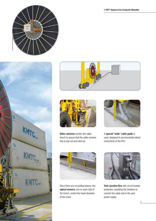





Video cameras monitor the cable trench to assure that the cable remains free to pay out and wind up



A special "wide" cable guide is used, designed to accommodate lateral movements of the RTG



Since there are no guiding beams, two optical sensors, one on each side of the trench, control the travel deviation of the crane



Yard Junction Box with circuit breaker protection, providing the interface to connect the cable reel to the yard power supply

**E-RTG™ Systems from Conductix-Wampfler**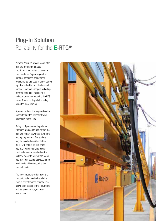## Plug-In Solution Reliability for the **E-RTG™**

With the "plug-in" system, conductor rails are mounted on a steel structure system bolted on top of a concrete base. Depending on the terminal conditions or customer requirements, this base is either put on top of or imbedded into the terminal surface. Electrical energy is picked up from the conductor rails using a collector trolley connected to the RTG crane. A steel cable pulls the trolley along the steel framing.

A power cable with a plug and socket connector link the collector trolley electrically to the RTG.

Safety is of paramount importance. Pilot pins are used to assure that the plug will remain powerless during the unplugging process. Two sockets may be installed on either side of the RTG to enable flexible crane operation when changing blocks. Limit switches are installed on the collector trolley to prevent the crane operator from accidentally leaving the block while still connected to the conductor rails.

The steel structure which holds the conductor rails may be installed at various predetermined heights. This allows easy access to the RTG during maintenance, service, or repair procedures.

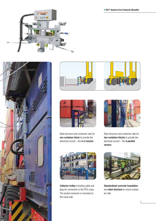







Steel structure and conductor rails for one container block to provide the electrical current – the 2+2 version



Steel structure and conductor rails for two container blocks to provide the electrical current  $-$  the  $4$  parallel version



Collector trolley including cable and plug for connection to the RTG crane. The socket connector is mounted on the crane side



Standardized concrete foundation and steel structure to mount conductor rails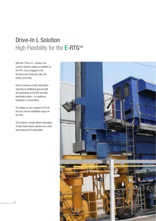## Drive-In L Solution High Flexibility for the E-RTG™

With the "Drive-in L" solution, the current collector system is installed on the RTG. Once engaged in the structure and conductor rails, the trolley runs freely.

Drive-in process is fully automated – requiring no additional ground staff. All movements of the RTG are fully electrically driven – no additional hydraulics or pneumatics.

The design is very compact to fit into the very narrow installation space on the RTG.

The modular concept allows integration of data transmission systems as a next step towards RTG automation.

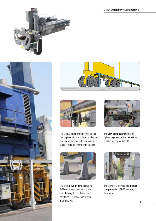







The unique **track profile** serves as the running beam for the collector trolley and also carries the conductor rail system, thus allowing full control of tolerances



The **very compact** system is the lightest system on the market and suitable for any kind of RTG



The short **Drive-In zone** allows the E-RTG to run with electrical power from the very first container row. It only takes 20-30 seconds to drive in or drive out.



The Drive-In L provides the **highest** compensation of RTG working tolerances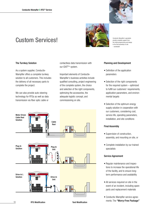

#### The Turnkey Solution

As a system supplier, Conductix-Wampfler offers a complete turnkey solution to all customers. This includes the delivery of all necessary parts to complete the project.

We can also provide auto-steering technology for RTGs as well as data transmission via fiber optic cable or contactless data transmission with our iDATPlus system.

Important elements of Conductix-Wampfler's business activities include qualified consulting, project engineering of the complete system, the choice and selection of the right components, optimizing the accessories, the adequate logistic concept, and commissioning on site.





Conductix-Wampfler's specialists provide complete support from the initial programming and design to the final assembly on site – worldwide!

#### Planning and Development

- Definition of the application parameters
- Selection of the right components for the required system – optimized to fulfill our customers' requirements, application parameters, and environmental targets
- Selection of the optimum energy supply solution in cooperation with our customers, considering cost, service life, operating parameters, installation, and site conditions

#### Final Assembly

- Supervision of construction, assembly, and mounting on site, or
- Complete installation by our trained specialists

#### Service Agreement

- Regular maintenance and inspections to increase the operational life of the facility, and to ensure longterm performance and availability
- All services required on site in the event of an incident, including spare parts and replacement materials
- Conductix-Wampfler service agreements: The "Worry-Free Package"

RTG Modification **National State of American** Yard Modification

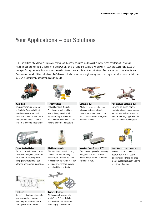### Your Applications – our Solutions

E-RTG from Conductix-Wampfler represent only one of the many solutions made possible by the broad spectrum of Conductix-Wampfler components for the transport of energy, data, air, and fluids. The solutions we deliver for your applications are based on your specific requirements. In many cases, a combination of several different Conductix-Wampfler systems can prove advantageous. You can count on all of Conductix-Wampfler's Business Units for hands-on engineering support – coupled with the perfect solution to meet your energy management and control needs.



Cable Reels Motor driven reels and spring reels by Conductix-Wampfler hold their own wherever energy, data and media have to cover the most diverse distances within a short amount of



Festoon Systems It's hard to imagine Conductix-Wampfler cable trolleys not being used in virtually every industrial application. They're reliable and robust and available in an enormous variety of dimensions and designs.



Conductor Rails Whether they're enclosed conductor rails or expandable single-pole systems, the proven conductor rails by Conductix-Wampfler reliably move people and material.



Non-insulated Conductor Rails Extremely robust, non-insulated conductor rails with copper heads or stainless steel surfaces provide the ideal basis for rough applications, for example in steel mills or shipyards.



time – in all directions, fast and safe.

Energy Guiding Chains The "Jack of all trades" when it comes to transferring energy, data, air and fluid hoses. With their wide range, these energy guiding chains are the ideal solution for many industrial applications.



Jib Booms

Complete with tool transporters, reels, or an entire media supply system – here, safety and flexibility are key to the completion of difficult tasks.



Slip Ring Assemblies Whenever things are really "moving in circles", the proven slip ring assemblies by Conductix-Wampfler ensure the flawless transfer of energy and data. Here, everything revolves around flexibility and reliability!



Conveyor Systems Whether manual, semiautomatic or with Power & Free – flexibility is achieved with full customization concerning layout and location.



Inductive Power Transfer IPT® The no-contact system for transferring energy and data. For all tasks that depend on high speeds and absolute resistance to wear.



Reels, Retractors and Balancers Whether for hoses or cables, as classical reels or high-precision positioning aids for tools, our range of reels and spring balancers take the load off your shoulders.